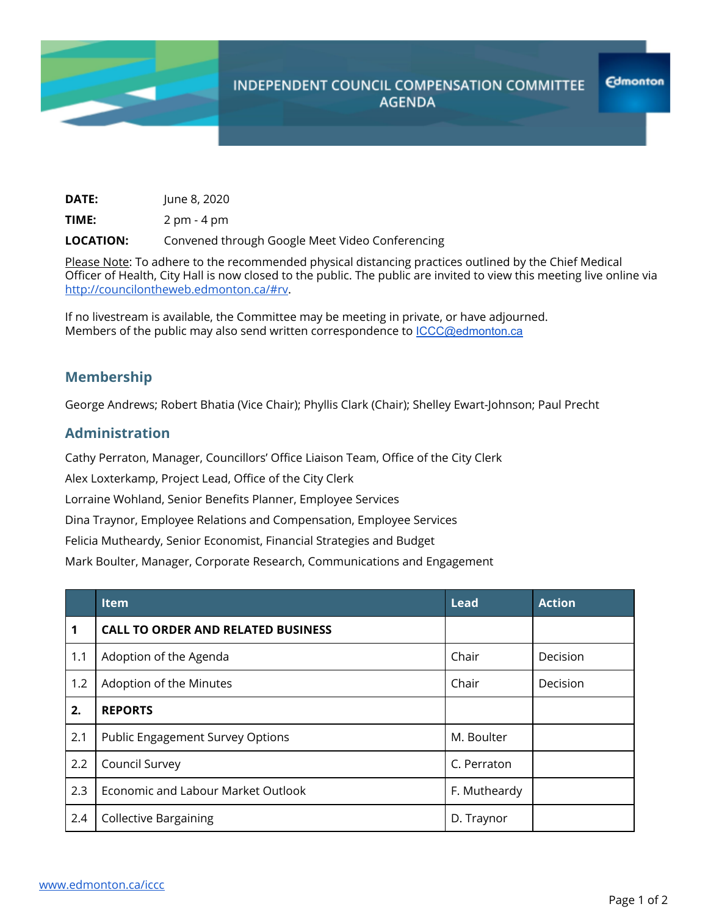

## **INDEPENDENT COUNCIL COMPENSATION COMMITTEE AGENDA**

| <b>DATE:</b> | June 8, 2020 |
|--------------|--------------|
|              |              |

**TIME:** 2 pm - 4 pm

**LOCATION:** Convened through Google Meet Video Conferencing

Please Note: To adhere to the recommended physical distancing practices outlined by the Chief Medical Officer of Health, City Hall is now closed to the public. The public are invited to view this meeting live online via <http://councilontheweb.edmonton.ca/#rv>.

If no livestream is available, the Committee may be meeting in private, or have adjourned. Members of the public may also send written correspondence to [ICCC@edmonton.ca](mailto:ICCC@edmonton.ca)

## **Membership**

George Andrews; Robert Bhatia (Vice Chair); Phyllis Clark (Chair); Shelley Ewart-Johnson; Paul Precht

## **Administration**

Cathy Perraton, Manager, Councillors' Office Liaison Team, Office of the City Clerk

Alex Loxterkamp, Project Lead, Office of the City Clerk

Lorraine Wohland, Senior Benefits Planner, Employee Services

Dina Traynor, Employee Relations and Compensation, Employee Services

Felicia Mutheardy, Senior Economist, Financial Strategies and Budget

Mark Boulter, Manager, Corporate Research, Communications and Engagement

|     | <b>Item</b>                               | <b>Lead</b>  | <b>Action</b> |
|-----|-------------------------------------------|--------------|---------------|
| 1   | <b>CALL TO ORDER AND RELATED BUSINESS</b> |              |               |
| 1.1 | Adoption of the Agenda                    | Chair        | Decision      |
| 1.2 | Adoption of the Minutes                   | Chair        | Decision      |
| 2.  | <b>REPORTS</b>                            |              |               |
| 2.1 | <b>Public Engagement Survey Options</b>   | M. Boulter   |               |
| 2.2 | Council Survey                            | C. Perraton  |               |
| 2.3 | Economic and Labour Market Outlook        | F. Mutheardy |               |
| 2.4 | <b>Collective Bargaining</b>              | D. Traynor   |               |

**Edmonton**